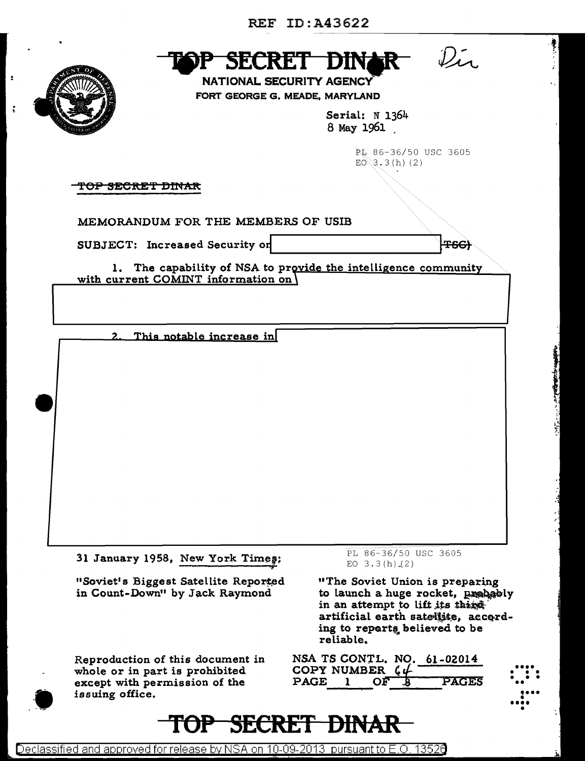

ċ



**NATIONAL SECURITY AGENCY** FORT GEORGE G. MEADE, MARYLAND

> Serial: N 1364 8 May 1961

> > PL 86-36/50 USC 3605  $E0 \gtrsim 3.3$  (h) (2)

 $\mathcal{D}_{\mathcal{L}}$ 

**TSG)** 

<del>TOP SECRET DINAR</del>

MEMORANDUM FOR THE MEMBERS OF USIB

SUBJECT: Increased Security on

1. The capability of NSA to provide the intelligence community

with current COMINT information on

This notable increase in  $\overline{2}$ .

31 January 1958, New York Times:

"Soviet's Biggest Satellite Reported in Count-Down" by Jack Raymond

Reproduction of this document in whole or in part is prohibited except with permission of the issuing office.

TOP-

PL 86-36/50 USC 3605 EO  $3.3(h)(2)$ 

"The Soviet Union is preparing to launch a huge rocket, probably in an attempt to lift its thing artificial earth satellite, according to reports believed to be reliable.

| COPY NUMBER $C\mathcal{L}$ |              |     | NSA TS CONTL. NO. 61-02014 |
|----------------------------|--------------|-----|----------------------------|
| $\mathbf{PAGE}$            | $\mathbf{1}$ | OFB | PAGES                      |

**TJII** 

**SECRET**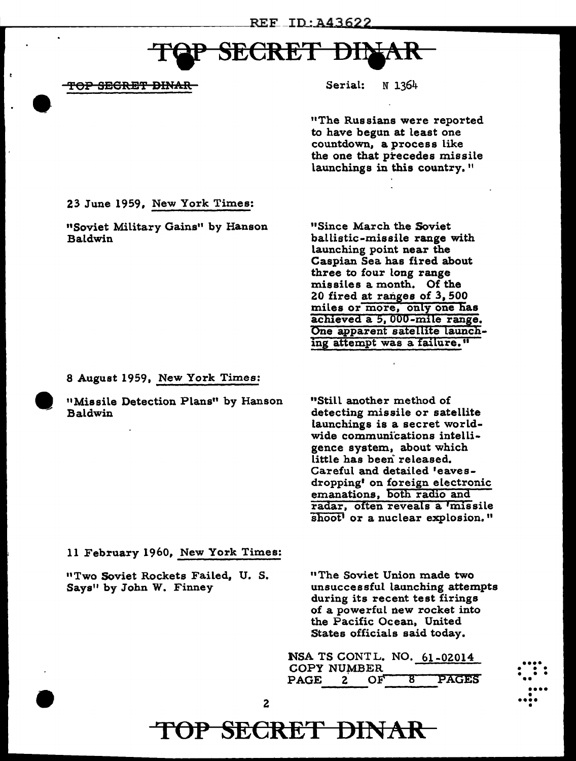# **SECRET DI**

TOP SEGRET DINAR

Serial: N 1364

"The Russians were reported to have begun at least one countdown, a process like the one that precedes missile launchings in this country."

23 June 1959, New York Times:

"Soviet Military Gains" by Hanson Baldwin

"Since March the Soviet ballistic-missile range with launching point near the Caspian Sea has fired about three to four long range missiles a month. Of the 20 fired at ranges of 3,500 miles or more, only one has achieved a 5, 000 -mile range. One apparent satellite launching attempt was a failure."

8 August 1959, New York Times:

"Missile Detection Plans" by Hanson Baldwin

"Still another method of detecting missile or satellite launchings is a secret worldwide communications intelligence system, about which little has been released. Careful and detailed 'eavesdropping' on foreign electronic emanations, both radio and radar, often reveals a 'missile shoot' or a nuclear explosion."

11 February 1960, New York Times:

<sup>n</sup>Two Soviet Rockets Failed, U. S. Says" by John W. Finney

"The Soviet Union made two unsuccessful launching attempts during its recent test firings of a powerful new rocket into the Pacific Ocean, United States officials said today.

•••• • • • • • • ••

•••• • •••• •

NSA TS CONT L. NO. 61-02014 COPY NUMBER PAGE 2 OF 8 PAGES

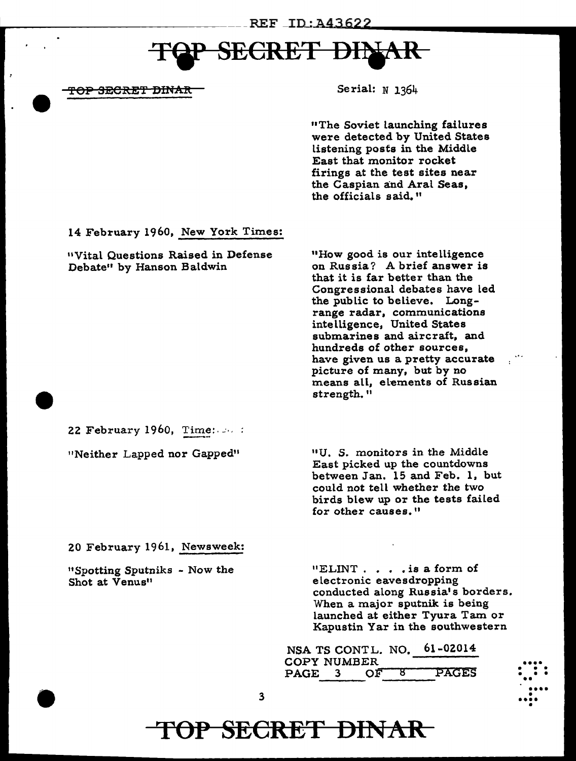# **CRET**

<del>TOP SECRET DINAR</del>

Serial:  $N$  1364

"The Soviet launching failures were detected by United States listening posts in the Middle East that monitor rocket firings at the test sites near the Caspian and Aral Seas, the officials said."

14 February 1960, New York Times:

"Vital Questions Raised in Defense Debate" by Hanson Baldwin

"How good is our intelligence on Russia? A brief answer is that it is far better than the Congressional debates have led the public to believe. Longrange radar, communications intelligence, United States submarines and aircraft, and hundreds of other sources, have given us a pretty accurate picture of many, but by no means all, elements of Russian strength."

22 February 1960, Time:  $\cdots$ :

"Neither Lapped nor Gapped"

"U. S. monitors in the Middle East picked up the countdowns between Jan. 15 and Feb. 1, but could not tell whether the two birds blew up or the tests failed for other causes."

20 February 1961, Newsweek:

"Spotting Sputniks - Now the Shot at Venus"

 $"ELINT. . . . is a form of$ electronic eavesdropping conducted along Russia's borders. When a major sputnik is being launched at either Tyura Tam or Kapustin Yar in the southwestern

61-02014 NSA TS CONTL. NO. **COPY NUMBER PAGES** PAGE 3  $\overline{OP}$ ष्ठ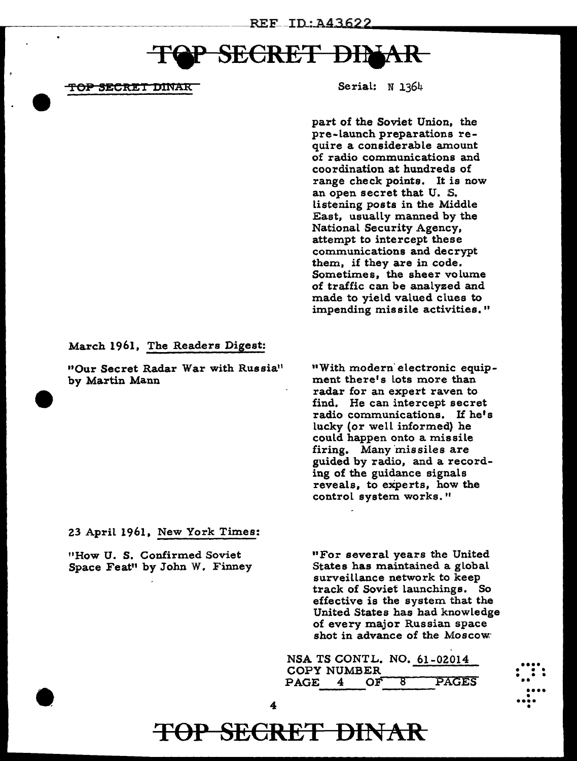### **SECRET DI\**

<del>TOP SECRET D</del>INAR

Serial: N 1364

part of the Soviet Union, the pre-Launch preparations require a considerable amount of radio communications and coordination at hundreds of range check points. It is now an open secret that U. S. Listening posts in the Middle East, usually manned by the National Security Agency, attempt to intercept these communications and decrypt them, if they are in code. Sometimes, the sheer volume of traffic can be analyzed and made to yield valued clues to impending missile activities."

#### March 1961, The Readers Digest:

"Our Secret Radar War with Russia" by Martin Mann

11With modern· electronic equipment there's lots more than radar for an expert raven to find. He can intercept secret radio communications. If he's lucky (or well informed) he could happen onto a missile firing. Many 'missiles are guided by radio, and a recording of the guidance signals reveals, to experts, how the control system works."

23 April 1961. New York Times:

"How U. S. Confirmed Soviet Space Feat" by John W. Finney 11For several years the United States has maintained a global surveillance network to keep track of Soviet launchings. So effective is the system that the United States has had knowledge of every major Russian space shot in advance of the Moscow<sup>.</sup>



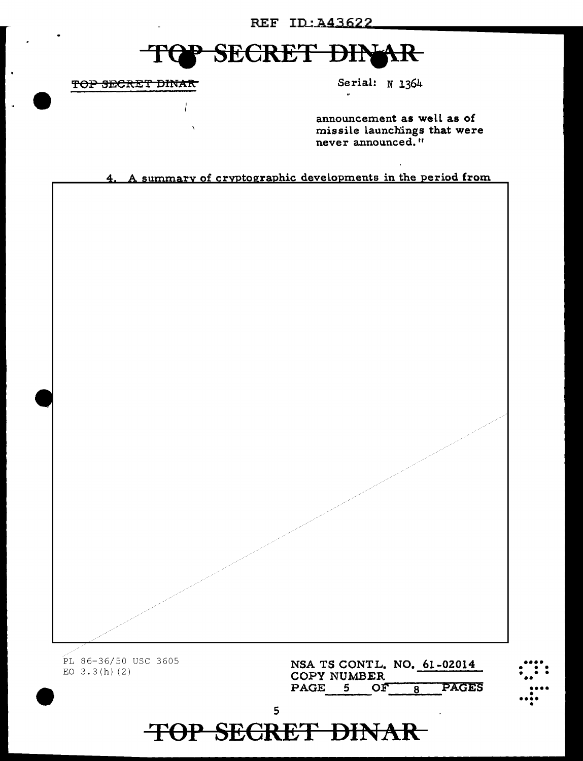### REF ID: A43622

#### **SECRET DIN** 干 **LAR**

TOP SECRET DINAR

Serial: N 1364

announcement as well as of missile launchings that were never announced."

4. A summary of cryptographic developments in the period from

PL 86-36/50 USC 3605 EO  $3.3(h)$  (2)

NSA TS CONTL. NO. 61-02014 COPY NUMBER PAGE 5 OF PAGES  $\overline{8}$ 

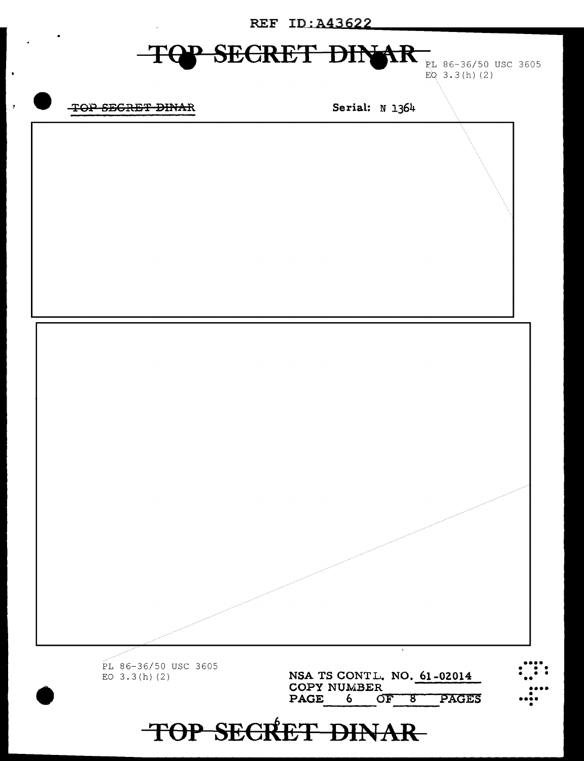**REF ID: A43622** 

# **TQP SECRET DINAR** PL 86-36/50 USC 3605

EQ  $3.3(h)$  (2)

### TOP SEGRET DINAR

 $\blacksquare$ 

 $\overline{a}$ 

Serial: N 1364

•••• • • • • • • •• PL 86-36/50 USC 3605 NSA TS CONT L. NO. 61-02014 EO  $3.3(h)$  (2) COPY NUMBER •••• • •••• • PAGE 6 OF 8 PAGES TOP SECRET DINAR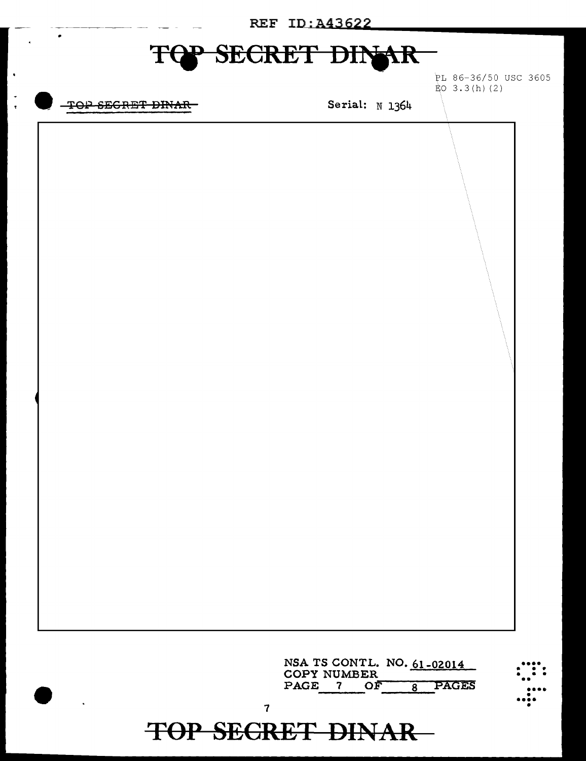| REF ID: A43622 |                                                              |  |  |  |  |  |
|----------------|--------------------------------------------------------------|--|--|--|--|--|
| F              | SECRET DINAR                                                 |  |  |  |  |  |
|                | PL 86-36/50 USC 3605<br>$E_0$ 3.3(h)(2)                      |  |  |  |  |  |
| TOP SEGRET     | Serial: N 1364                                               |  |  |  |  |  |
|                |                                                              |  |  |  |  |  |
|                |                                                              |  |  |  |  |  |
|                |                                                              |  |  |  |  |  |
|                |                                                              |  |  |  |  |  |
|                |                                                              |  |  |  |  |  |
|                |                                                              |  |  |  |  |  |
|                |                                                              |  |  |  |  |  |
|                |                                                              |  |  |  |  |  |
|                |                                                              |  |  |  |  |  |
|                |                                                              |  |  |  |  |  |
|                |                                                              |  |  |  |  |  |
|                |                                                              |  |  |  |  |  |
|                |                                                              |  |  |  |  |  |
|                |                                                              |  |  |  |  |  |
|                |                                                              |  |  |  |  |  |
|                |                                                              |  |  |  |  |  |
|                |                                                              |  |  |  |  |  |
|                |                                                              |  |  |  |  |  |
|                |                                                              |  |  |  |  |  |
|                |                                                              |  |  |  |  |  |
|                |                                                              |  |  |  |  |  |
|                | NSA TS CONTL. NO. 61-02014<br><b>COPY NUMBER</b>             |  |  |  |  |  |
|                | <b>PAGES</b><br>PAGE<br>OF<br>$\mathbf{7}$<br>$\overline{8}$ |  |  |  |  |  |
|                | $\overline{\mathbf{7}}$<br><b>TOP SECRET DINAR</b>           |  |  |  |  |  |

 $\ddot{\phantom{1}}$ 

 $\ddot{\cdot}$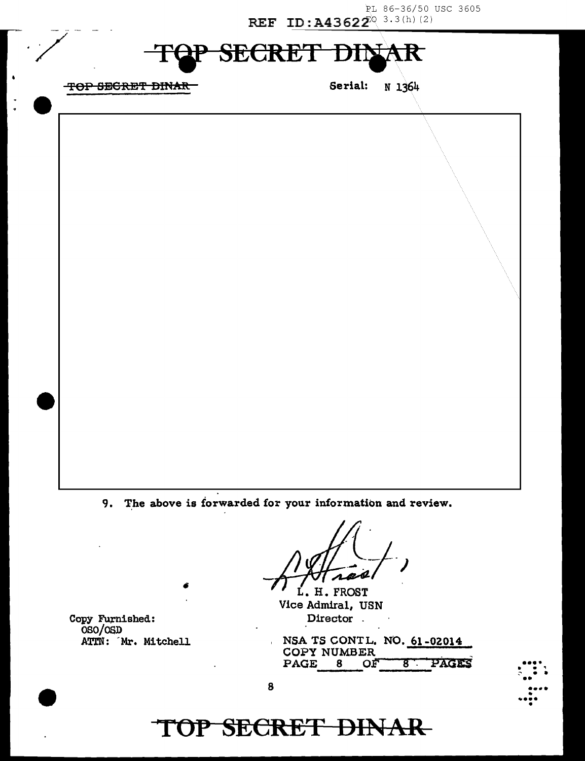PL 86-36/50 USC 3605 REF ID:  $A43622^{\circ}$  3.3(h) (2)

#### SECRET Đ R

-~--------------------------~------~

TOP SEGRET BINAR Serial: N 1364

·/

9. The above is forwarded for your information and review.

L. H. FROST Vice Admiral, USN Director .

Copy Furnished: OSO/OSD ATTN: 'Mr. Mitchell

NSA TS CONTL. NO. 61-02014 COPY NUMBER<br>PAGE 8 OF PAGE 8 OF 8 PAGES



#### 8